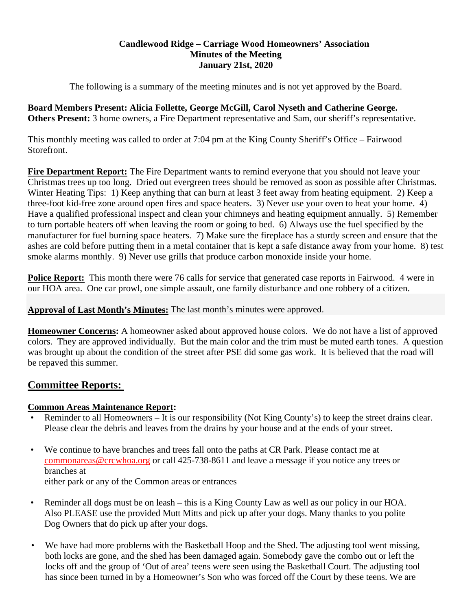# **Candlewood Ridge – Carriage Wood Homeowners' Association Minutes of the Meeting January 21st, 2020**

The following is a summary of the meeting minutes and is not yet approved by the Board.

**Board Members Present: Alicia Follette, George McGill, Carol Nyseth and Catherine George. Others Present:** 3 home owners, a Fire Department representative and Sam, our sheriff's representative.

This monthly meeting was called to order at 7:04 pm at the King County Sheriff's Office – Fairwood Storefront.

**Fire Department Report:** The Fire Department wants to remind everyone that you should not leave your Christmas trees up too long. Dried out evergreen trees should be removed as soon as possible after Christmas. Winter Heating Tips: 1) Keep anything that can burn at least 3 feet away from heating equipment. 2) Keep a three-foot kid-free zone around open fires and space heaters. 3) Never use your oven to heat your home. 4) Have a qualified professional inspect and clean your chimneys and heating equipment annually. 5) Remember to turn portable heaters off when leaving the room or going to bed. 6) Always use the fuel specified by the manufacturer for fuel burning space heaters. 7) Make sure the fireplace has a sturdy screen and ensure that the ashes are cold before putting them in a metal container that is kept a safe distance away from your home. 8) test smoke alarms monthly. 9) Never use grills that produce carbon monoxide inside your home.

**Police Report:** This month there were 76 calls for service that generated case reports in Fairwood. 4 were in our HOA area. One car prowl, one simple assault, one family disturbance and one robbery of a citizen.

**Approval of Last Month's Minutes:** The last month's minutes were approved.

**Homeowner Concerns:** A homeowner asked about approved house colors. We do not have a list of approved colors. They are approved individually. But the main color and the trim must be muted earth tones. A question was brought up about the condition of the street after PSE did some gas work. It is believed that the road will be repaved this summer.

# **Committee Reports:**

# **Common Areas Maintenance Report:**

- Reminder to all Homeowners It is our responsibility (Not King County's) to keep the street drains clear. Please clear the debris and leaves from the drains by your house and at the ends of your street.
- We continue to have branches and trees fall onto the paths at CR Park. Please contact me at commonareas@crcwhoa.org or call 425-738-8611 and leave a message if you notice any trees or branches at

either park or any of the Common areas or entrances

- Reminder all dogs must be on leash this is a King County Law as well as our policy in our HOA. Also PLEASE use the provided Mutt Mitts and pick up after your dogs. Many thanks to you polite Dog Owners that do pick up after your dogs.
- We have had more problems with the Basketball Hoop and the Shed. The adjusting tool went missing, both locks are gone, and the shed has been damaged again. Somebody gave the combo out or left the locks off and the group of 'Out of area' teens were seen using the Basketball Court. The adjusting tool has since been turned in by a Homeowner's Son who was forced off the Court by these teens. We are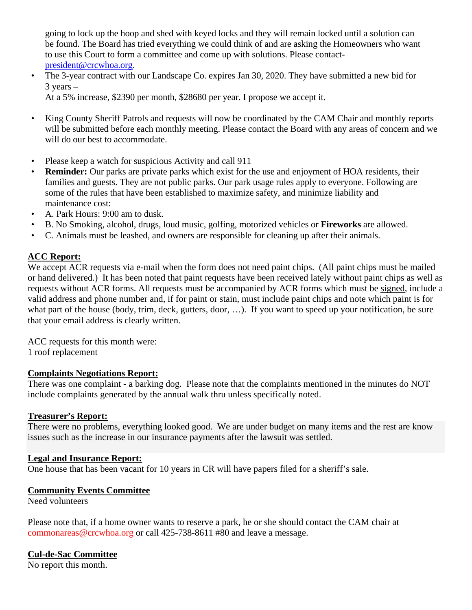going to lock up the hoop and shed with keyed locks and they will remain locked until a solution can be found. The Board has tried everything we could think of and are asking the Homeowners who want to use this Court to form a committee and come up with solutions. Please contactpresident@crcwhoa.org.

• The 3-year contract with our Landscape Co. expires Jan 30, 2020. They have submitted a new bid for  $3$  years  $-$ 

At a 5% increase, \$2390 per month, \$28680 per year. I propose we accept it.

- King County Sheriff Patrols and requests will now be coordinated by the CAM Chair and monthly reports will be submitted before each monthly meeting. Please contact the Board with any areas of concern and we will do our best to accommodate.
- Please keep a watch for suspicious Activity and call 911
- **Reminder:** Our parks are private parks which exist for the use and enjoyment of HOA residents, their families and guests. They are not public parks. Our park usage rules apply to everyone. Following are some of the rules that have been established to maximize safety, and minimize liability and maintenance cost:
- A. Park Hours: 9:00 am to dusk.
- B. No Smoking, alcohol, drugs, loud music, golfing, motorized vehicles or **Fireworks** are allowed.
- C. Animals must be leashed, and owners are responsible for cleaning up after their animals.

# **ACC Report:**

We accept ACR requests via e-mail when the form does not need paint chips. (All paint chips must be mailed or hand delivered.) It has been noted that paint requests have been received lately without paint chips as well as requests without ACR forms. All requests must be accompanied by ACR forms which must be signed, include a valid address and phone number and, if for paint or stain, must include paint chips and note which paint is for what part of the house (body, trim, deck, gutters, door, ...). If you want to speed up your notification, be sure that your email address is clearly written.

ACC requests for this month were: 1 roof replacement

# **Complaints Negotiations Report:**

There was one complaint - a barking dog. Please note that the complaints mentioned in the minutes do NOT include complaints generated by the annual walk thru unless specifically noted.

# **Treasurer's Report:**

There were no problems, everything looked good. We are under budget on many items and the rest are know issues such as the increase in our insurance payments after the lawsuit was settled.

# **Legal and Insurance Report:**

One house that has been vacant for 10 years in CR will have papers filed for a sheriff's sale.

#### **Community Events Committee**

Need volunteers

Please note that, if a home owner wants to reserve a park, he or she should contact the CAM chair at commonareas@crcwhoa.org or call 425-738-8611 #80 and leave a message.

# **Cul-de-Sac Committee**

No report this month.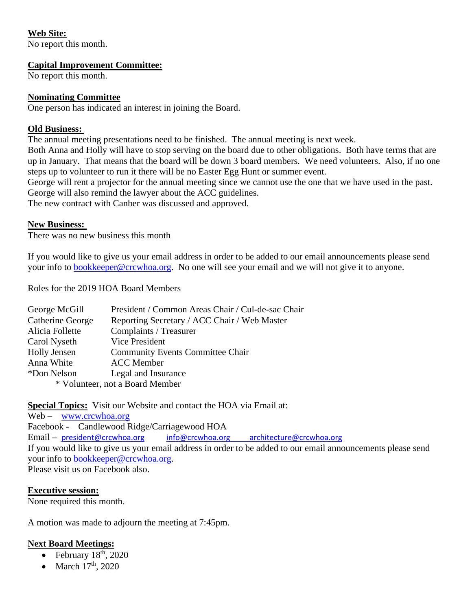# **Web Site:**

No report this month.

#### **Capital Improvement Committee:**

No report this month.

# **Nominating Committee**

One person has indicated an interest in joining the Board.

# **Old Business:**

The annual meeting presentations need to be finished. The annual meeting is next week.

Both Anna and Holly will have to stop serving on the board due to other obligations. Both have terms that are up in January. That means that the board will be down 3 board members. We need volunteers. Also, if no one steps up to volunteer to run it there will be no Easter Egg Hunt or summer event.

George will rent a projector for the annual meeting since we cannot use the one that we have used in the past. George will also remind the lawyer about the ACC guidelines.

The new contract with Canber was discussed and approved.

# **New Business:**

There was no new business this month

If you would like to give us your email address in order to be added to our email announcements please send your info to bookkeeper@crcwhoa.org. No one will see your email and we will not give it to anyone.

Roles for the 2019 HOA Board Members

| George McGill                   | President / Common Areas Chair / Cul-de-sac Chair |
|---------------------------------|---------------------------------------------------|
| <b>Catherine George</b>         | Reporting Secretary / ACC Chair / Web Master      |
| Alicia Follette                 | Complaints / Treasurer                            |
| Carol Nyseth                    | <b>Vice President</b>                             |
| <b>Holly Jensen</b>             | <b>Community Events Committee Chair</b>           |
| Anna White                      | <b>ACC</b> Member                                 |
| *Don Nelson                     | Legal and Insurance                               |
| * Volunteer, not a Board Member |                                                   |

**Special Topics:** Visit our Website and contact the HOA via Email at:

Web – www.crcwhoa.org Facebook - Candlewood Ridge/Carriagewood HOA Email – president@crcwhoa.org info@crcwhoa.org architecture@crcwhoa.org If you would like to give us your email address in order to be added to our email announcements please send your info to bookkeeper@crcwhoa.org. Please visit us on Facebook also.

# **Executive session:**

None required this month.

A motion was made to adjourn the meeting at 7:45pm.

# **Next Board Meetings:**

- February  $18<sup>th</sup>$ , 2020
- March  $17<sup>th</sup>$ , 2020